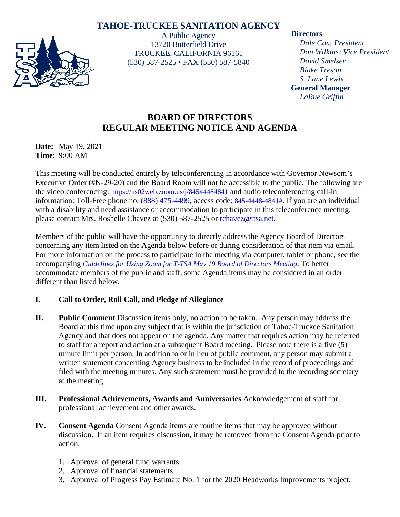## **TAHOE-TRUCKEE SANITATION AGENCY**



A Public Agency 13720 Butterfield Drive TRUCKEE, CALIFORNIA 96161 (530) 587-2525 • FAX (530) 587-5840

#### **Directors**

*Dale Cox: President Dan Wilkins: Vice President David Smelser Blake Tresan S. Lane Lewis* **General Manager** *LaRue Griffin*

# **BOARD OF DIRECTORS REGULAR MEETING NOTICE AND AGENDA**

**Date:** May 19, 2021 **Time**: 9:00 AM

This meeting will be conducted entirely by teleconferencing in accordance with Governor Newsom's Executive Order (#N-29-20) and the Board Room will not be accessible to the public. The following are the video conferencing: <https://us02web.zoom.us/j/84544484841> and audio teleconferencing call-in information: Toll-Free phone no. (888) 475-4499, access code: 845-4448-4841#. If you are an individual with a disability and need assistance or accommodation to participate in this teleconference meeting, please contact Mrs. Roshelle Chavez at (530) 587-2525 or [rchavez@ttsa.net.](mailto:rchavez@ttsa.net)

Members of the public will have the opportunity to directly address the Agency Board of Directors concerning any item listed on the Agenda below before or during consideration of that item via email. For more information on the process to participate in the meeting via computer, tablet or phone, see the accompanying *Guidelines for Using Zoom for T-TSA May 19 Board of Directors Meeting*. To better accommodate members of the public and staff, some Agenda items may be considered in an order different than listed below.

## **I. Call to Order, Roll Call, and Pledge of Allegiance**

- **II. Public Comment** Discussion items only, no action to be taken. Any person may address the Board at this time upon any subject that is within the jurisdiction of Tahoe-Truckee Sanitation Agency and that does not appear on the agenda. Any matter that requires action may be referred to staff for a report and action at a subsequent Board meeting. Please note there is a five (5) minute limit per person. In addition to or in lieu of public comment, any person may submit a written statement concerning Agency business to be included in the record of proceedings and filed with the meeting minutes. Any such statement must be provided to the recording secretary at the meeting.
- **III. Professional Achievements, Awards and Anniversaries** Acknowledgement of staff for professional achievement and other awards.
- **IV. Consent Agenda** Consent Agenda items are routine items that may be approved without discussion. If an item requires discussion, it may be removed from the Consent Agenda prior to action.
	- 1. Approval of general fund warrants.
	- 2. Approval of financial statements.
	- 3. Approval of Progress Pay Estimate No. 1 for the 2020 Headworks Improvements project.